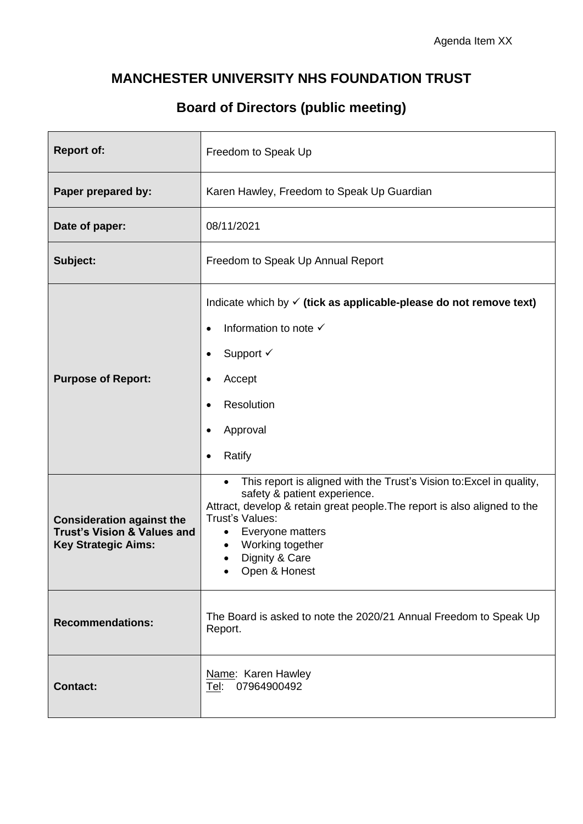#### **MANCHESTER UNIVERSITY NHS FOUNDATION TRUST**

### **Board of Directors (public meeting)**

| <b>Report of:</b>                                                                                        | Freedom to Speak Up                                                                                                                                                                                                                                                                                       |  |  |  |  |
|----------------------------------------------------------------------------------------------------------|-----------------------------------------------------------------------------------------------------------------------------------------------------------------------------------------------------------------------------------------------------------------------------------------------------------|--|--|--|--|
| Paper prepared by:                                                                                       | Karen Hawley, Freedom to Speak Up Guardian                                                                                                                                                                                                                                                                |  |  |  |  |
| Date of paper:                                                                                           | 08/11/2021                                                                                                                                                                                                                                                                                                |  |  |  |  |
| Subject:                                                                                                 | Freedom to Speak Up Annual Report                                                                                                                                                                                                                                                                         |  |  |  |  |
| <b>Purpose of Report:</b>                                                                                | Indicate which by $\checkmark$ (tick as applicable-please do not remove text)<br>Information to note √<br>Support $\checkmark$<br>Accept<br>Resolution<br>Approval<br>Ratify                                                                                                                              |  |  |  |  |
| <b>Consideration against the</b><br><b>Trust's Vision &amp; Values and</b><br><b>Key Strategic Aims:</b> | This report is aligned with the Trust's Vision to: Excel in quality,<br>$\bullet$<br>safety & patient experience.<br>Attract, develop & retain great people. The report is also aligned to the<br>Trust's Values:<br>Everyone matters<br>$\bullet$<br>Working together<br>Dignity & Care<br>Open & Honest |  |  |  |  |
| <b>Recommendations:</b>                                                                                  | The Board is asked to note the 2020/21 Annual Freedom to Speak Up<br>Report.                                                                                                                                                                                                                              |  |  |  |  |
| <b>Contact:</b>                                                                                          | Name: Karen Hawley<br>07964900492<br>Tel:                                                                                                                                                                                                                                                                 |  |  |  |  |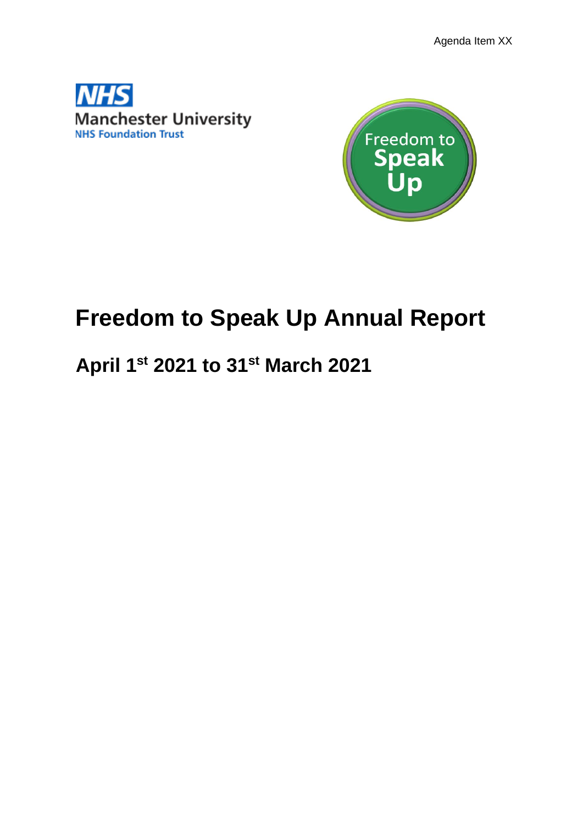Agenda Item XX





# **Freedom to Speak Up Annual Report**

## **April 1 st 2021 to 31st March 2021**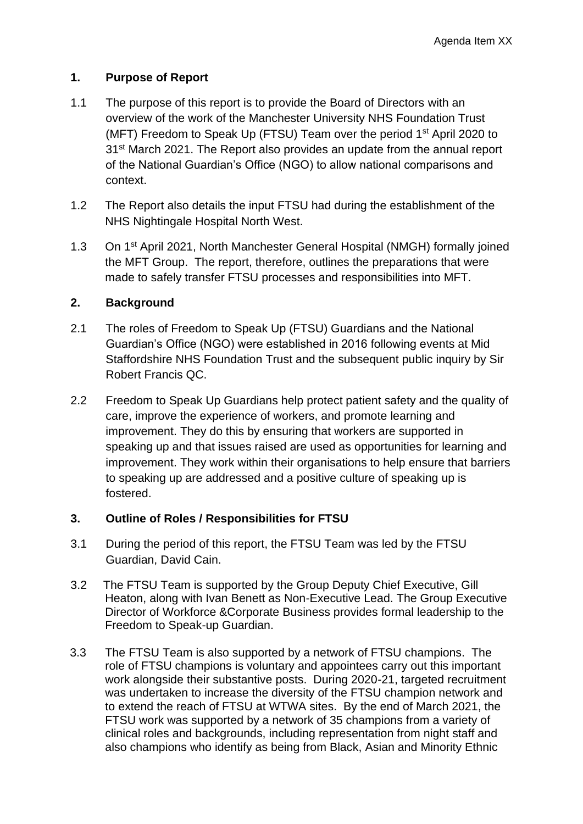#### **1. Purpose of Report**

- 1.1 The purpose of this report is to provide the Board of Directors with an overview of the work of the Manchester University NHS Foundation Trust (MFT) Freedom to Speak Up (FTSU) Team over the period  $1<sup>st</sup>$  April 2020 to 31st March 2021. The Report also provides an update from the annual report of the National Guardian's Office (NGO) to allow national comparisons and context.
- 1.2 The Report also details the input FTSU had during the establishment of the NHS Nightingale Hospital North West.
- 1.3 On 1<sup>st</sup> April 2021, North Manchester General Hospital (NMGH) formally joined the MFT Group. The report, therefore, outlines the preparations that were made to safely transfer FTSU processes and responsibilities into MFT.

#### **2. Background**

- 2.1 The roles of Freedom to Speak Up (FTSU) Guardians and the National Guardian's Office (NGO) were established in 2016 following events at Mid Staffordshire NHS Foundation Trust and the subsequent public inquiry by Sir Robert Francis QC.
- 2.2 Freedom to Speak Up Guardians help protect patient safety and the quality of care, improve the experience of workers, and promote learning and improvement. They do this by ensuring that workers are supported in speaking up and that issues raised are used as opportunities for learning and improvement. They work within their organisations to help ensure that barriers to speaking up are addressed and a positive culture of speaking up is fostered.

#### **3. Outline of Roles / Responsibilities for FTSU**

- 3.1 During the period of this report, the FTSU Team was led by the FTSU Guardian, David Cain.
- 3.2 The FTSU Team is supported by the Group Deputy Chief Executive, Gill Heaton, along with Ivan Benett as Non-Executive Lead. The Group Executive Director of Workforce &Corporate Business provides formal leadership to the Freedom to Speak-up Guardian.
- 3.3 The FTSU Team is also supported by a network of FTSU champions. The role of FTSU champions is voluntary and appointees carry out this important work alongside their substantive posts. During 2020-21, targeted recruitment was undertaken to increase the diversity of the FTSU champion network and to extend the reach of FTSU at WTWA sites. By the end of March 2021, the FTSU work was supported by a network of 35 champions from a variety of clinical roles and backgrounds, including representation from night staff and also champions who identify as being from Black, Asian and Minority Ethnic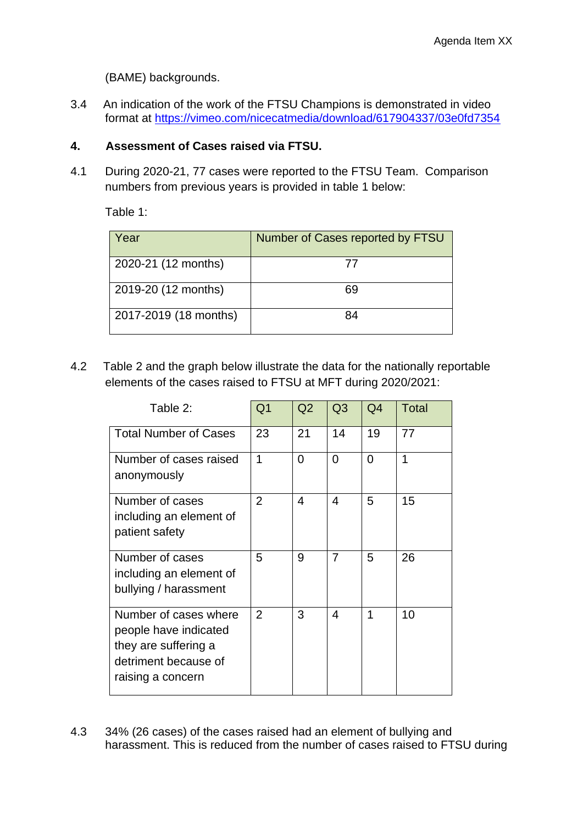(BAME) backgrounds.

3.4 An indication of the work of the FTSU Champions is demonstrated in video format at [https://vimeo.com/nicecatmedia/download/617904337/03e0fd7354](https://urldefense.proofpoint.com/v2/url?u=https-3A__vimeo.com_nicecatmedia_download_617904337_03e0fd7354&d=DwMF-g&c=bMxC-A1upgdsx4J2OmDkk2Eep4PyO1BA6pjHrrW-ii0&r=MxLtG_wM1xiD_Gb55a5v4D_pVB9g7c38CSdJzkHpX3g&m=d2NPYLsNaAXX7SjsdfXdxy5GmPOUve8NK5j5sTgO9Bo&s=VyydxTe1TQZgVP81p6NXHCyEQ_Uwly48Ngfoq-YcyWE&e=)

#### **4. Assessment of Cases raised via FTSU.**

4.1 During 2020-21, 77 cases were reported to the FTSU Team. Comparison numbers from previous years is provided in table 1 below:

Table 1:

| Year                  | Number of Cases reported by FTSU |
|-----------------------|----------------------------------|
| 2020-21 (12 months)   | 77                               |
| 2019-20 (12 months)   | 69                               |
| 2017-2019 (18 months) | 84                               |

4.2 Table 2 and the graph below illustrate the data for the nationally reportable elements of the cases raised to FTSU at MFT during 2020/2021:

| Table 2:                                                                                                            | Q <sub>1</sub> | Q2       | Q <sub>3</sub> | Q4             | <b>Total</b> |
|---------------------------------------------------------------------------------------------------------------------|----------------|----------|----------------|----------------|--------------|
| <b>Total Number of Cases</b>                                                                                        | 23             | 21       | 14             | 19             | 77           |
| Number of cases raised<br>anonymously                                                                               | 1              | $\Omega$ | $\Omega$       | $\overline{0}$ | 1            |
| Number of cases<br>including an element of<br>patient safety                                                        | $\overline{2}$ | 4        | $\overline{4}$ | 5              | 15           |
| Number of cases<br>including an element of<br>bullying / harassment                                                 | 5              | 9        | $\overline{7}$ | 5              | 26           |
| Number of cases where<br>people have indicated<br>they are suffering a<br>detriment because of<br>raising a concern | 2              | 3        | 4              | 1              | 10           |

4.3 34% (26 cases) of the cases raised had an element of bullying and harassment. This is reduced from the number of cases raised to FTSU during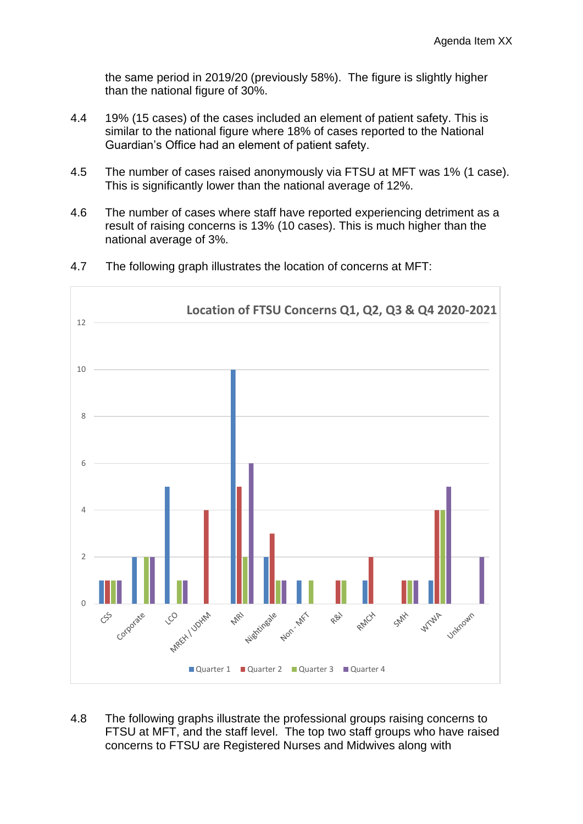the same period in 2019/20 (previously 58%). The figure is slightly higher than the national figure of 30%.

- 4.4 19% (15 cases) of the cases included an element of patient safety. This is similar to the national figure where 18% of cases reported to the National Guardian's Office had an element of patient safety.
- 4.5 The number of cases raised anonymously via FTSU at MFT was 1% (1 case). This is significantly lower than the national average of 12%.
- 4.6 The number of cases where staff have reported experiencing detriment as a result of raising concerns is 13% (10 cases). This is much higher than the national average of 3%.



4.7 The following graph illustrates the location of concerns at MFT:

4.8 The following graphs illustrate the professional groups raising concerns to FTSU at MFT, and the staff level. The top two staff groups who have raised concerns to FTSU are Registered Nurses and Midwives along with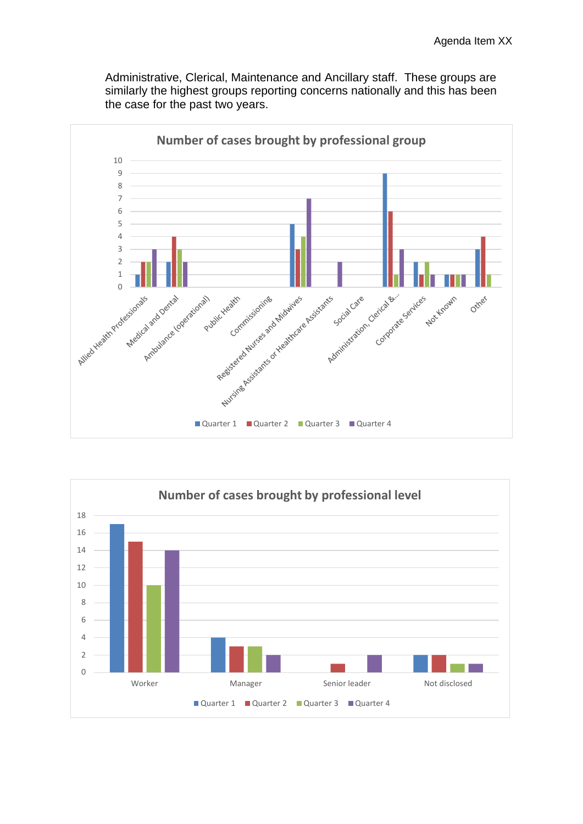Administrative, Clerical, Maintenance and Ancillary staff. These groups are similarly the highest groups reporting concerns nationally and this has been the case for the past two years.



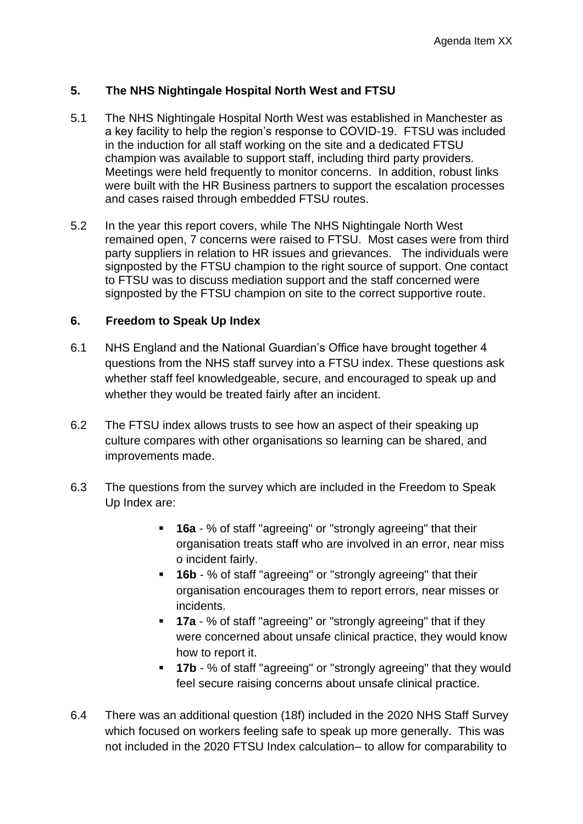#### **5. The NHS Nightingale Hospital North West and FTSU**

- 5.1 The NHS Nightingale Hospital North West was established in Manchester as a key facility to help the region's response to COVID-19. FTSU was included in the induction for all staff working on the site and a dedicated FTSU champion was available to support staff, including third party providers. Meetings were held frequently to monitor concerns. In addition, robust links were built with the HR Business partners to support the escalation processes and cases raised through embedded FTSU routes.
- 5.2 In the year this report covers, while The NHS Nightingale North West remained open, 7 concerns were raised to FTSU. Most cases were from third party suppliers in relation to HR issues and grievances. The individuals were signposted by the FTSU champion to the right source of support. One contact to FTSU was to discuss mediation support and the staff concerned were signposted by the FTSU champion on site to the correct supportive route.

#### **6. Freedom to Speak Up Index**

- 6.1 NHS England and the National Guardian's Office have brought together 4 questions from the NHS staff survey into a FTSU index. These questions ask whether staff feel knowledgeable, secure, and encouraged to speak up and whether they would be treated fairly after an incident.
- 6.2 The FTSU index allows trusts to see how an aspect of their speaking up culture compares with other organisations so learning can be shared, and improvements made.
- 6.3 The questions from the survey which are included in the Freedom to Speak Up Index are:
	- **16a** % of staff "agreeing" or "strongly agreeing" that their organisation treats staff who are involved in an error, near miss o incident fairly.
	- **. 16b** % of staff "agreeing" or "strongly agreeing" that their organisation encourages them to report errors, near misses or incidents.
	- **17a** % of staff "agreeing" or "strongly agreeing" that if they were concerned about unsafe clinical practice, they would know how to report it.
	- **17b** % of staff "agreeing" or "strongly agreeing" that they would feel secure raising concerns about unsafe clinical practice.
- 6.4 There was an additional question (18f) included in the 2020 NHS Staff Survey which focused on workers feeling safe to speak up more generally. This was not included in the 2020 FTSU Index calculation– to allow for comparability to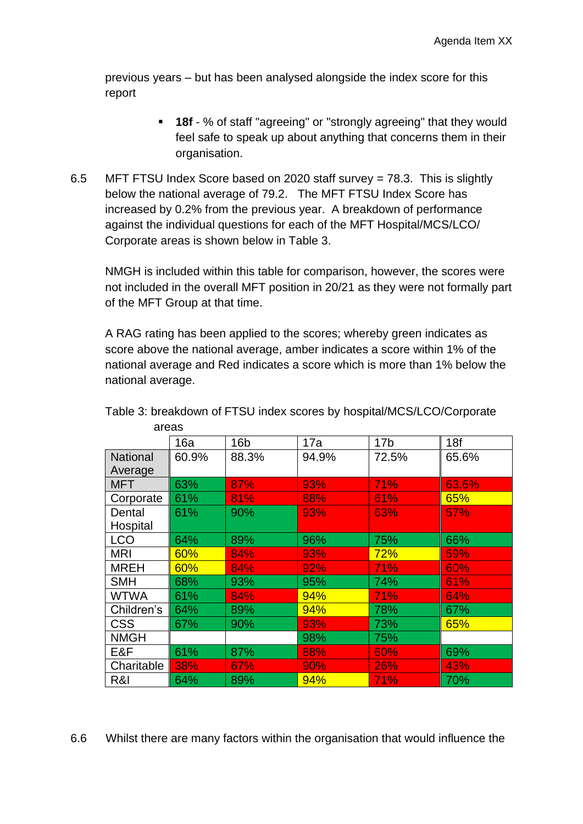previous years – but has been analysed alongside the index score for this report

- **18f** % of staff "agreeing" or "strongly agreeing" that they would feel safe to speak up about anything that concerns them in their organisation.
- 6.5 MFT FTSU Index Score based on 2020 staff survey = 78.3. This is slightly below the national average of 79.2. The MFT FTSU Index Score has increased by 0.2% from the previous year. A breakdown of performance against the individual questions for each of the MFT Hospital/MCS/LCO/ Corporate areas is shown below in Table 3.

NMGH is included within this table for comparison, however, the scores were not included in the overall MFT position in 20/21 as they were not formally part of the MFT Group at that time.

A RAG rating has been applied to the scores; whereby green indicates as score above the national average, amber indicates a score within 1% of the national average and Red indicates a score which is more than 1% below the national average.

|                 | 16a   | 16 <sub>b</sub> | 17a   | 17 <sub>b</sub> | 18f   |
|-----------------|-------|-----------------|-------|-----------------|-------|
| <b>National</b> | 60.9% | 88.3%           | 94.9% | 72.5%           | 65.6% |
| Average         |       |                 |       |                 |       |
| <b>MFT</b>      | 63%   | 87%             | 93%   | 71%             | 63.6% |
|                 |       |                 |       |                 |       |
| Corporate       | 61%   | 81%             | 88%   | 61%             | 65%   |
| Dental          | 61%   | 90%             | 93%   | 63%             | 57%   |
| Hospital        |       |                 |       |                 |       |
| <b>LCO</b>      | 64%   | 89%             | 96%   | 75%             | 66%   |
| <b>MRI</b>      | 60%   | 84%             | 93%   | 72%             | 59%   |
| <b>MREH</b>     | 60%   | 84%             | 92%   | 71%             | 60%   |
| <b>SMH</b>      | 68%   | 93%             | 95%   | 74%             | 61%   |
| <b>WTWA</b>     | 61%   | 84%             | 94%   | 71%             | 64%   |
| Children's      | 64%   | 89%             | 94%   | 78%             | 67%   |
| <b>CSS</b>      | 67%   | 90%             | 93%   | 73%             | 65%   |
| <b>NMGH</b>     |       |                 | 98%   | 75%             |       |
| E&F             | 61%   | 87%             | 88%   | 60%             | 69%   |
| Charitable      | 38%   | 67%             | 90%   | 26%             | 43%   |
| R&I             | 64%   | 89%             | 94%   | 71%             | 70%   |

Table 3: breakdown of FTSU index scores by hospital/MCS/LCO/Corporate areas

6.6 Whilst there are many factors within the organisation that would influence the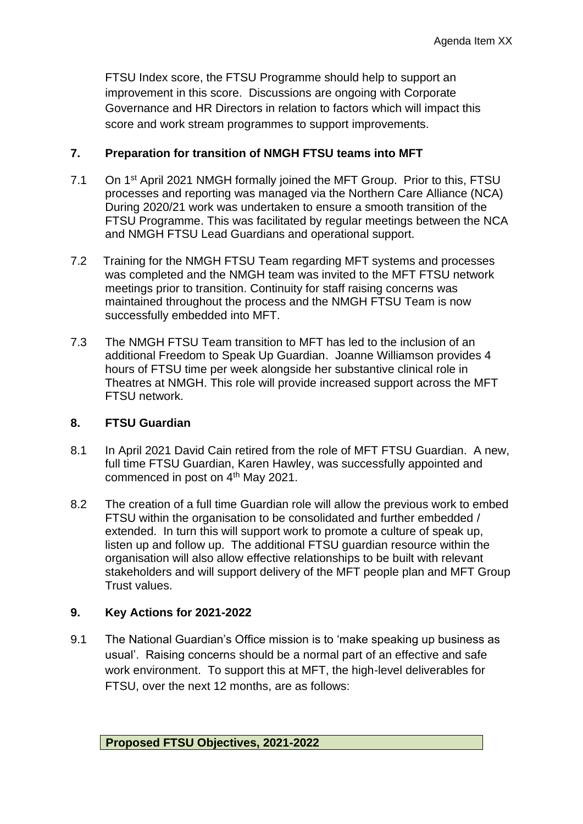FTSU Index score, the FTSU Programme should help to support an improvement in this score. Discussions are ongoing with Corporate Governance and HR Directors in relation to factors which will impact this score and work stream programmes to support improvements.

#### **7. Preparation for transition of NMGH FTSU teams into MFT**

- 7.1 On 1<sup>st</sup> April 2021 NMGH formally joined the MFT Group. Prior to this, FTSU processes and reporting was managed via the Northern Care Alliance (NCA) During 2020/21 work was undertaken to ensure a smooth transition of the FTSU Programme. This was facilitated by regular meetings between the NCA and NMGH FTSU Lead Guardians and operational support.
- 7.2 Training for the NMGH FTSU Team regarding MFT systems and processes was completed and the NMGH team was invited to the MFT FTSU network meetings prior to transition. Continuity for staff raising concerns was maintained throughout the process and the NMGH FTSU Team is now successfully embedded into MFT.
- 7.3 The NMGH FTSU Team transition to MFT has led to the inclusion of an additional Freedom to Speak Up Guardian. Joanne Williamson provides 4 hours of FTSU time per week alongside her substantive clinical role in Theatres at NMGH. This role will provide increased support across the MFT FTSU network.

#### **8. FTSU Guardian**

- 8.1 In April 2021 David Cain retired from the role of MFT FTSU Guardian. A new, full time FTSU Guardian, Karen Hawley, was successfully appointed and commenced in post on 4<sup>th</sup> May 2021.
- 8.2 The creation of a full time Guardian role will allow the previous work to embed FTSU within the organisation to be consolidated and further embedded / extended. In turn this will support work to promote a culture of speak up, listen up and follow up. The additional FTSU guardian resource within the organisation will also allow effective relationships to be built with relevant stakeholders and will support delivery of the MFT people plan and MFT Group Trust values.

#### **9. Key Actions for 2021-2022**

9.1 The National Guardian's Office mission is to 'make speaking up business as usual'. Raising concerns should be a normal part of an effective and safe work environment. To support this at MFT, the high-level deliverables for FTSU, over the next 12 months, are as follows: